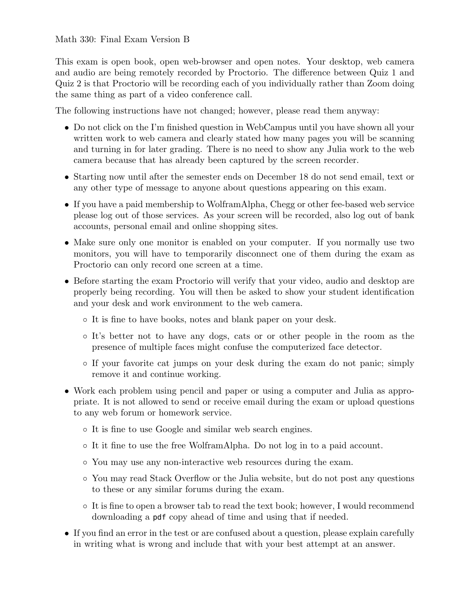### Math 330: Final Exam Version B

This exam is open book, open web-browser and open notes. Your desktop, web camera and audio are being remotely recorded by Proctorio. The difference between Quiz 1 and Quiz 2 is that Proctorio will be recording each of you individually rather than Zoom doing the same thing as part of a video conference call.

The following instructions have not changed; however, please read them anyway:

- Do not click on the I'm finished question in WebCampus until you have shown all your written work to web camera and clearly stated how many pages you will be scanning and turning in for later grading. There is no need to show any Julia work to the web camera because that has already been captured by the screen recorder.
- Starting now until after the semester ends on December 18 do not send email, text or any other type of message to anyone about questions appearing on this exam.
- If you have a paid membership to WolframAlpha, Chegg or other fee-based web service please log out of those services. As your screen will be recorded, also log out of bank accounts, personal email and online shopping sites.
- Make sure only one monitor is enabled on your computer. If you normally use two monitors, you will have to temporarily disconnect one of them during the exam as Proctorio can only record one screen at a time.
- Before starting the exam Proctorio will verify that your video, audio and desktop are properly being recording. You will then be asked to show your student identification and your desk and work environment to the web camera.
	- It is fine to have books, notes and blank paper on your desk.
	- It's better not to have any dogs, cats or or other people in the room as the presence of multiple faces might confuse the computerized face detector.
	- If your favorite cat jumps on your desk during the exam do not panic; simply remove it and continue working.
- Work each problem using pencil and paper or using a computer and Julia as appropriate. It is not allowed to send or receive email during the exam or upload questions to any web forum or homework service.
	- It is fine to use Google and similar web search engines.
	- It it fine to use the free WolframAlpha. Do not log in to a paid account.
	- You may use any non-interactive web resources during the exam.
	- You may read Stack Overflow or the Julia website, but do not post any questions to these or any similar forums during the exam.
	- It is fine to open a browser tab to read the text book; however, I would recommend downloading a pdf copy ahead of time and using that if needed.
- If you find an error in the test or are confused about a question, please explain carefully in writing what is wrong and include that with your best attempt at an answer.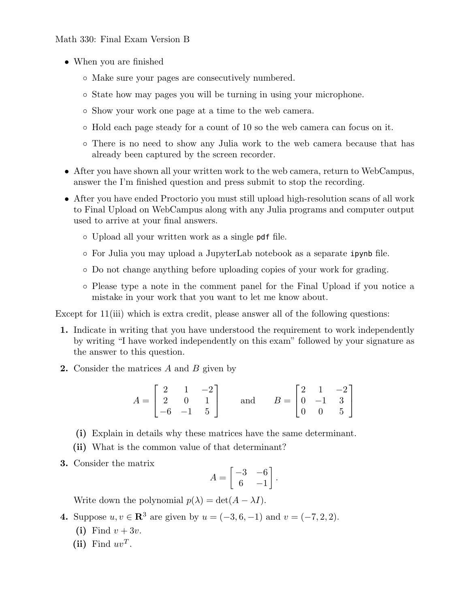### Math 330: Final Exam Version B

- When you are finished
	- Make sure your pages are consecutively numbered.
	- State how may pages you will be turning in using your microphone.
	- Show your work one page at a time to the web camera.
	- Hold each page steady for a count of 10 so the web camera can focus on it.
	- There is no need to show any Julia work to the web camera because that has already been captured by the screen recorder.
- After you have shown all your written work to the web camera, return to WebCampus, answer the I'm finished question and press submit to stop the recording.
- After you have ended Proctorio you must still upload high-resolution scans of all work to Final Upload on WebCampus along with any Julia programs and computer output used to arrive at your final answers.
	- Upload all your written work as a single pdf file.
	- For Julia you may upload a JupyterLab notebook as a separate ipynb file.
	- Do not change anything before uploading copies of your work for grading.
	- Please type a note in the comment panel for the Final Upload if you notice a mistake in your work that you want to let me know about.

Except for 11(iii) which is extra credit, please answer all of the following questions:

- 1. Indicate in writing that you have understood the requirement to work independently by writing "I have worked independently on this exam" followed by your signature as the answer to this question.
- 2. Consider the matrices A and B given by

$$
A = \begin{bmatrix} 2 & 1 & -2 \\ 2 & 0 & 1 \\ -6 & -1 & 5 \end{bmatrix} \quad \text{and} \quad B = \begin{bmatrix} 2 & 1 & -2 \\ 0 & -1 & 3 \\ 0 & 0 & 5 \end{bmatrix}
$$

- (i) Explain in details why these matrices have the same determinant.
- (ii) What is the common value of that determinant?
- 3. Consider the matrix

$$
A = \begin{bmatrix} -3 & -6 \\ 6 & -1 \end{bmatrix}.
$$

Write down the polynomial  $p(\lambda) = \det(A - \lambda I)$ .

4. Suppose  $u, v \in \mathbb{R}^3$  are given by  $u = (-3, 6, -1)$  and  $v = (-7, 2, 2)$ .

- (i) Find  $v + 3v$ .
- (ii) Find  $uv^T$ .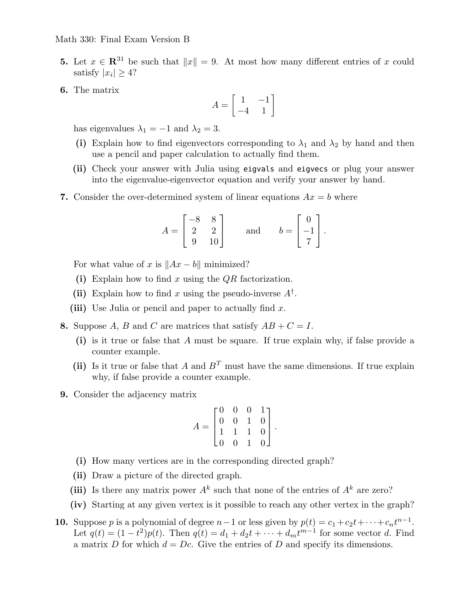#### Math 330: Final Exam Version B

- 5. Let  $x \in \mathbb{R}^{31}$  be such that  $||x|| = 9$ . At most how many different entries of x could satisfy  $|x_i| \geq 4$ ?
- 6. The matrix

$$
A = \begin{bmatrix} 1 & -1 \\ -4 & 1 \end{bmatrix}
$$

has eigenvalues  $\lambda_1 = -1$  and  $\lambda_2 = 3$ .

- (i) Explain how to find eigenvectors corresponding to  $\lambda_1$  and  $\lambda_2$  by hand and then use a pencil and paper calculation to actually find them.
- (ii) Check your answer with Julia using eigvals and eigvecs or plug your answer into the eigenvalue-eigenvector equation and verify your answer by hand.
- 7. Consider the over-determined system of linear equations  $Ax = b$  where

$$
A = \begin{bmatrix} -8 & 8 \\ 2 & 2 \\ 9 & 10 \end{bmatrix} \qquad \text{and} \qquad b = \begin{bmatrix} 0 \\ -1 \\ 7 \end{bmatrix}.
$$

For what value of x is  $||Ax - b||$  minimized?

- (i) Explain how to find x using the  $QR$  factorization.
- (ii) Explain how to find x using the pseudo-inverse  $A^{\dagger}$ .
- (iii) Use Julia or pencil and paper to actually find  $x$ .
- 8. Suppose A, B and C are matrices that satisfy  $AB + C = I$ .
	- (i) is it true or false that A must be square. If true explain why, if false provide a counter example.
	- (ii) Is it true or false that A and  $B<sup>T</sup>$  must have the same dimensions. If true explain why, if false provide a counter example.
- 9. Consider the adjacency matrix

$$
A = \begin{bmatrix} 0 & 0 & 0 & 1 \\ 0 & 0 & 1 & 0 \\ 1 & 1 & 1 & 0 \\ 0 & 0 & 1 & 0 \end{bmatrix}.
$$

- (i) How many vertices are in the corresponding directed graph?
- (ii) Draw a picture of the directed graph.
- (iii) Is there any matrix power  $A^k$  such that none of the entries of  $A^k$  are zero?
- (iv) Starting at any given vertex is it possible to reach any other vertex in the graph?
- **10.** Suppose p is a polynomial of degree  $n-1$  or less given by  $p(t) = c_1 + c_2t + \cdots + c_nt^{n-1}$ . Let  $q(t) = (1-t^2)p(t)$ . Then  $q(t) = d_1 + d_2t + \cdots + d_mt^{m-1}$  for some vector d. Find a matrix D for which  $d = Dc$ . Give the entries of D and specify its dimensions.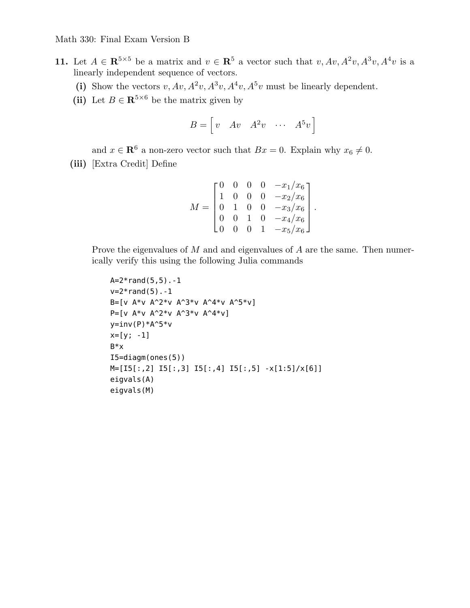- 11. Let  $A \in \mathbb{R}^{5 \times 5}$  be a matrix and  $v \in \mathbb{R}^5$  a vector such that  $v, Av, A^2v, A^3v, A^4v$  is a linearly independent sequence of vectors.
	- (i) Show the vectors  $v, Av, A^2v, A^3v, A^4v, A^5v$  must be linearly dependent.
	- (ii) Let  $B \in \mathbb{R}^{5 \times 6}$  be the matrix given by

$$
B = \begin{bmatrix} v & Av & A^2v & \cdots & A^5v \end{bmatrix}
$$

and  $x \in \mathbb{R}^6$  a non-zero vector such that  $Bx = 0$ . Explain why  $x_6 \neq 0$ .

(iii) [Extra Credit] Define

$$
M = \begin{bmatrix} 0 & 0 & 0 & 0 & -x_1/x_6 \\ 1 & 0 & 0 & 0 & -x_2/x_6 \\ 0 & 1 & 0 & 0 & -x_3/x_6 \\ 0 & 0 & 1 & 0 & -x_4/x_6 \\ 0 & 0 & 0 & 1 & -x_5/x_6 \end{bmatrix}.
$$

Prove the eigenvalues of M and and eigenvalues of A are the same. Then numerically verify this using the following Julia commands

```
A=2*rand(5,5) - 1v=2*rand(5) - 1B=[v A*v A^2*v A^3*v A^4*v A^5*v]
P=[v A*v A^2*v A^3*v A^4*v]
y=inv(P)*A^5*v
x=[y; -1]B*x
I5=diagm(ones(5))
M=[I5[:,2] I5[:,3] I5[:,4] I5[:,5] -x[1:5]/x[6]]
eigvals(A)
eigvals(M)
```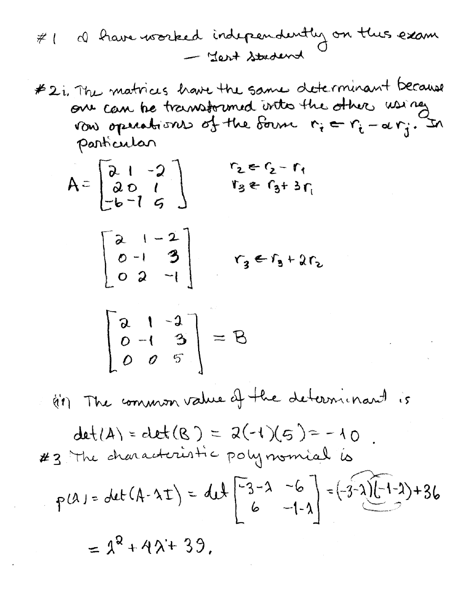#2i, The matrices have the same determinant because one can be transformed into the other using particular

$$
A = \begin{bmatrix} 2 & 1 & -2 \\ 2 & 0 & 1 \\ -b & 1 & 5 \end{bmatrix} \qquad \begin{matrix} r_2 = r_2 - r_1 \\ r_3 = r_3 + 3r_1 \end{matrix}
$$

$$
\begin{bmatrix} 2 & 1 & -2 \\ 0 & -1 & 3 \\ 0 & 2 & -1 \end{bmatrix} \qquad r_3 \in r_3 + 2r_2
$$

$$
\begin{bmatrix} a & 1 & -a \\ 0 & -1 & 3 \\ 0 & 0 & 5 \end{bmatrix} = B
$$

(et) The common value of the determinant is

 $\mathcal{L}(\mathcal{L})$  and  $\mathcal{L}(\mathcal{L})$  and  $\mathcal{L}(\mathcal{L})$  and  $\mathcal{L}(\mathcal{L})$ 

$$
det(A) = det(B) = 2(-1)(5) = -10
$$
  
\n $\neq 3$  The characteristic polynomial is  
\n $p(A) = det(A-2t) = 4t \left[\frac{-3}{6} - 2 - 6\right] = (-3-2)[-1-2) + 36$ 

 $= \lambda^2 + 4\lambda + 39$ ,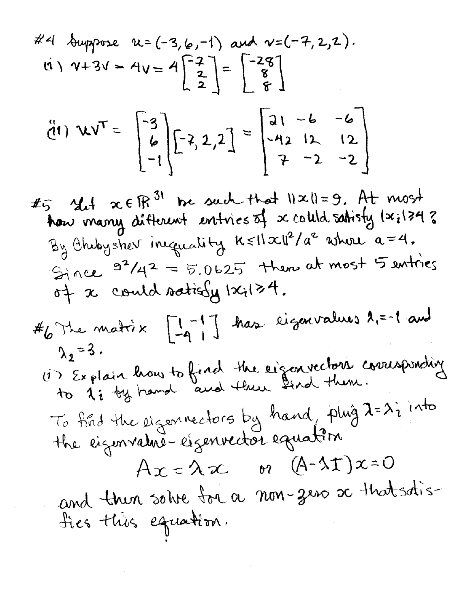#4 Suppose 
$$
u = (-3, 6, -1)
$$
 and  $v = (-7, 2, 2)$ .  
\n $\begin{bmatrix} 1 \\ 1 \end{bmatrix}$ ,  $v + 3v = 4v = 4\begin{bmatrix} -2 \\ 2 \\ 2 \end{bmatrix} = \begin{bmatrix} -28 \\ 8 \\ 6 \end{bmatrix}$ 

$$
\ddot{d}(1) \quad \mathbf{V} \mathbf{V}^{\mathsf{T}} = \begin{bmatrix} -3 \\ 6 \\ -1 \end{bmatrix} \begin{bmatrix} -2 & 2 & 2 \end{bmatrix} = \begin{bmatrix} 21 & -6 & -6 \\ -42 & 12 & 12 \\ 7 & -2 & -2 \end{bmatrix}
$$

# $5$  Mit  $x \in \mathbb{R}^{31}$  be such that  $||x||=9$ . At most<br>how many different entries of x coluld satisfy (x; 124 ?  $By Chubyshev inequality$   $K \leq ||x||^2/a^2$  where  $a=4$ . Since  $9^2/4^2 = 5.0625$  then at most 5 entires<br>of x could satisfy  $|x_i|>4$ .

$$
\#_{6}
$$
\n
$$
A_{2}=3.
$$
\n
$$
A_{2}=3.
$$
\n
$$
A_{1} = 1
$$
\n
$$
A_{2} = 3.
$$
\n
$$
A_{3} = 1
$$
\n
$$
A_{4} = 1
$$
\n
$$
A_{5} = 1
$$
\n
$$
A_{6} = 1
$$
\n
$$
A_{7} = 1
$$
\n
$$
A_{8} = 1
$$
\n
$$
A_{9} = 1
$$
\n
$$
A_{10} = 1
$$
\n
$$
A_{11} = 1
$$
\n
$$
A_{12} = 1
$$
\n
$$
A_{13} = 1
$$
\n
$$
A_{14} = 1
$$
\n
$$
A_{15} = 1
$$
\n
$$
A_{16} = 1
$$
\n
$$
A_{18} = 1
$$
\n
$$
A_{19} = 1
$$
\n
$$
A_{10} = 1
$$
\n
$$
A_{11} = 1
$$
\n
$$
A_{12} = 1
$$
\n
$$
A_{13} = 1
$$
\n
$$
A_{14} = 1
$$
\n
$$
A_{15} = 1
$$
\n
$$
A_{16} = 1
$$
\n
$$
A_{18} = 1
$$
\n
$$
A_{19} = 1
$$
\n
$$
A_{10} = 1
$$
\n
$$
A_{11} = 1
$$
\n
$$
A_{12} = 1
$$
\n
$$
A_{13} = 1
$$
\n
$$
A_{14} = 1
$$
\n
$$
A_{15} = 1
$$
\n
$$
A_{16} = 1
$$
\n
$$
A_{18} = 1
$$
\n
$$
A_{19} = 1
$$
\n
$$
A_{10} = 1
$$
\n
$$
A_{11} = 1
$$
\n
$$
A_{10} = 1
$$
\n
$$
A_{11} = 1
$$
\n
$$
A_{12}
$$

(i) Explain how to fixed the factor 2 and then  
to 1: by hand, and find that 
$$
\frac{1}{4}
$$
 and  $\frac{1}{4}$  into  
To find the eigenvector by hand, plug  $1 = \lambda i$  into  
the eigenvalue- $\frac{1}{4} \times 1 = \lambda \times \frac{1}{4}$ 

and then solve toi a non-zero a that satis-<br>fies this equation.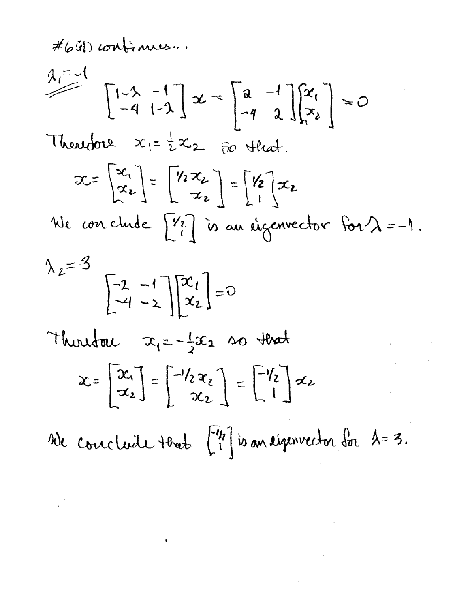#64) confirmes...

$$
A_{i} = -1
$$
\n
$$
\begin{bmatrix} 1-\lambda & -1 \\ -4 & 1-\lambda \end{bmatrix} x = \begin{bmatrix} a & -1 \\ -4 & 2 \end{bmatrix} \begin{bmatrix} x_1 \\ x_2 \end{bmatrix} = 0
$$
\n
$$
\begin{bmatrix} x_{1} \\ x_{2} \end{bmatrix} = \begin{bmatrix} x_{1} \\ x_{2} \end{bmatrix} = \begin{bmatrix} x_{2} \\ x_{2} \end{bmatrix} = \begin{bmatrix} x_{2} \\ x_{2} \end{bmatrix}
$$
\nWe conclude  $\begin{bmatrix} x_1 \\ x_2 \end{bmatrix} = \begin{bmatrix} x_2 \\ x_2 \end{bmatrix}$  is an eigenvector for  $\lambda = -1$ .

$$
\begin{bmatrix} -2 & -1 \\ -4 & -2 \end{bmatrix} \begin{bmatrix} x_1 \\ x_2 \end{bmatrix} = 0
$$
  
Thus that  $x_1 = -\frac{1}{2}x_2$  so that  

$$
x = \begin{bmatrix} x_1 \\ x_2 \end{bmatrix} = \begin{bmatrix} -1/2x_2 \\ x_2 \end{bmatrix} = \begin{bmatrix} -1/2 \\ 1 \end{bmatrix}x_2
$$

Ne conclude that [12] is an eigenvector for 1=3.

 $\label{eq:2.1} \mathcal{L}(\mathcal{L}(\mathcal{L}))=\mathcal{L}(\mathcal{L}(\mathcal{L}))\otimes \mathcal{L}(\mathcal{L}(\mathcal{L}))\otimes \mathcal{L}(\mathcal{L}(\mathcal{L}))\otimes \mathcal{L}(\mathcal{L}(\mathcal{L}))\otimes \mathcal{L}(\mathcal{L}(\mathcal{L}))\otimes \mathcal{L}(\mathcal{L}(\mathcal{L}))\otimes \mathcal{L}(\mathcal{L}(\mathcal{L}))\otimes \mathcal{L}(\mathcal{L}(\mathcal{L}(\mathcal{L}(\mathcal{L}(\mathcal{L}(\mathcal{L}(\mathcal{$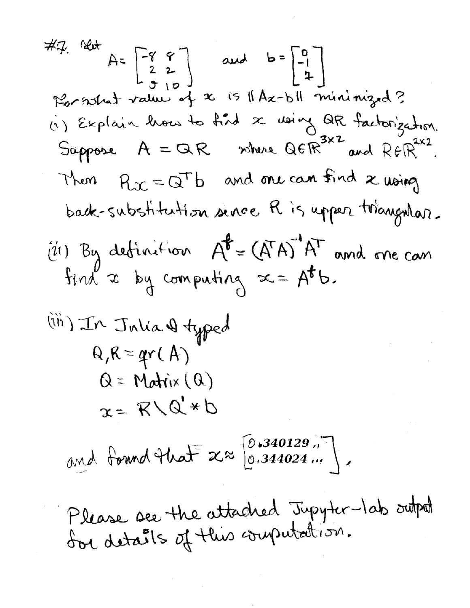**Contract Contract** 

 $\sim 10^{-1}$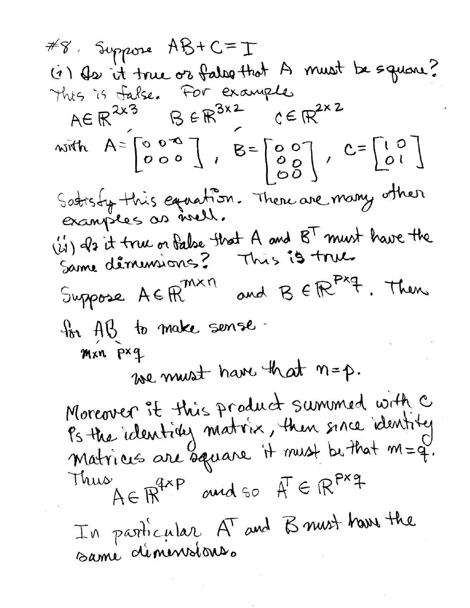#8, Suppose AB+C=I (i) As it true or falso that A must be square? This is false. For example with  $A = \begin{bmatrix} 0 & 0 & -\infty \\ 0 & 0 & 0 \end{bmatrix}$ ,  $B = \begin{bmatrix} 0 & 0 \\ 0 & 0 \\ 0 & 0 \end{bmatrix}$ ,  $C = \begin{bmatrix} 1 & 0 \\ 0 & 1 \end{bmatrix}$ Satisfy this equation. There are many other (is) als it true or false that A and BT must have the Same déminiones? This is true. and B E R Pxq. Then Suppose AE FR<sup>MXN</sup> to AB to make sense. Mxn pxq we must have that n=p. Moreover it this product summed with c<br>Ps the identity matrix, then since identity Matrices are square it must be that  $m=q$ . Thus  $A \in \mathbb{R}^{4 \times P}$  and so  $A^T \in \mathbb{R}^{P \times 4}$ In particular, AT and B must have the same démensions.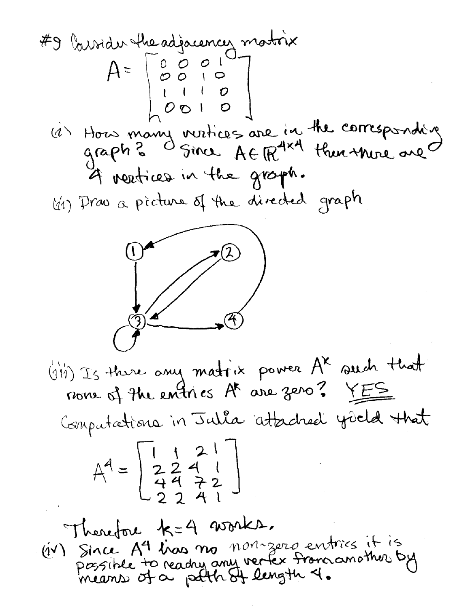#9 (b) width the adjacency matrix  
\n
$$
A = \begin{bmatrix} 0 & 0 & 0 \\ 0 & 0 & 1 \\ 0 & 0 & 1 \end{bmatrix}
$$
  
\n $(d)$  Hous many variables are in the compressivity  
\n $g(1)$  Prove a picture of the directed graph.  
\n $(d)$  Prove a picture of the directed graph.  
\n $(e^{(i)})$  Is three only matrix power A<sup>x</sup> such that  
\n $h = \begin{bmatrix} 1 & 2 \\ 2 & 2 & 4 \\ 4 & 7 & 2 \end{bmatrix}$   
\n $A^4 = \begin{bmatrix} 1 & 2 \\ 2 & 2 & 4 \\ 4 & 7 & 2 \end{bmatrix}$   
\n $f(h) = 1$  Then  $(e^{(i)})$  and the standard yield that  
\n $h = 1$  when  $(e^{(i)})$  are not zero, and  $h = 1$  and  $h = 1$  and  $h = 1$  and  $h = 1$  and  $h = 1$  and  $h = 1$  and  $h = 1$  and  $h = 1$  and  $h = 1$  and  $h = 1$  and  $h = 1$  and  $h = 1$  and  $h = 1$  and  $h = 1$  and  $h = 1$  and  $h = 1$  and  $h = 1$  and  $h = 1$  and  $h = 1$  and  $h = 1$  and  $h = 1$  and  $h = 1$  and  $h = 1$  and  $h = 1$  and  $h = 1$  and  $h = 1$  and  $h = 1$  and  $h = 1$  and  $h = 1$  and  $h = 1$  and  $h = 1$  and  $h = 1$  and  $h = 1$  and  $h = 1$  and  $h = 1$  and  $h = 1$  and  $h = 1$  and  $h = 1$  and  $h = 1$  and  $h = 1$  and  $h = 1$  and  $h = 1$  and  $h = 1$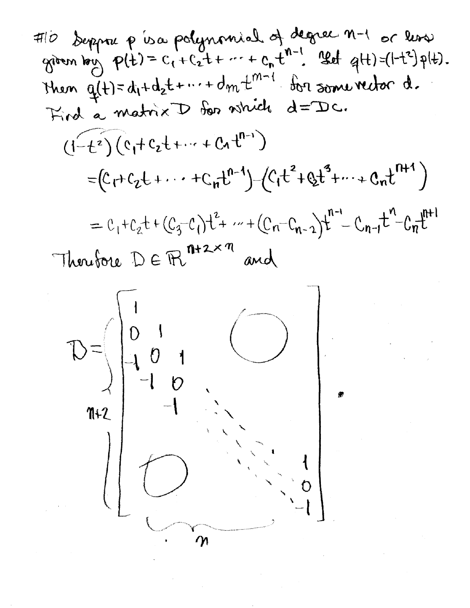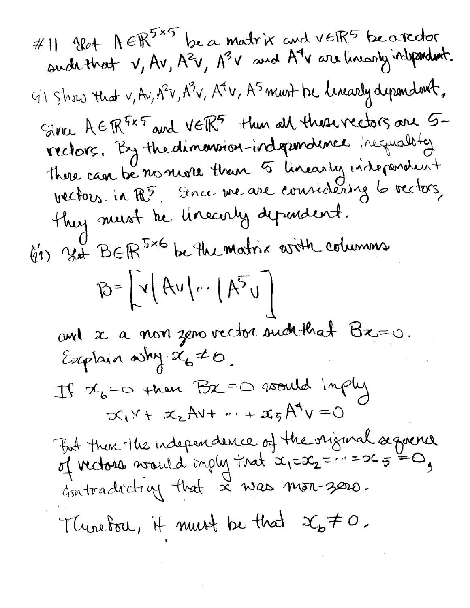#11 964 A 
$$
6R^{5\times5}
$$
 be a matrix and  $veR^{5}$  be detected  
and that  $v, Av, A^{2}v, A^{3}v$  and A<sup>4</sup>v are linearly independent.

\n91. Show that  $v, Av, A^{2}v, A^{4}v, A^{5}m$  and the linearly dependent,  
Since A  $6R^{5\times5}$  and  $veR^{5}$  than all thus vectors are 5-  
refedres. By the dimension-independent hexagusbig  
then can be non-zero. It is an an example of  $vechos$ ,  
then, in  $R^{5}$ . Since the are coincides in a decay,   
the linearly dependent.  
91. Show that the linearly dependent form  

$$
B = \left[v \left( Av \right | v : \left( A^{5}v \right) \right]
$$
  
and  $x$  a non-zero vector and then  $Bx = 0$ .  
Explain a why  $x_{6} \neq 0$ .

\nIf  $x_{6} = 0$  then  $Bx = 0$  as  $0$  and  $x_{1}v + x_{2}Av + v + x_{5}A^{4}v = 0$ .

\nFind that  $x_{1} = x_{2} = \cdots = 2c_{5} = 0$ ,  
cantractively that  $x$  was non-zero.

\nSupers, if  $0$  is not a non-zero.

\nTherefore, if  $0$  is not a non-zero.

**Contract Contract**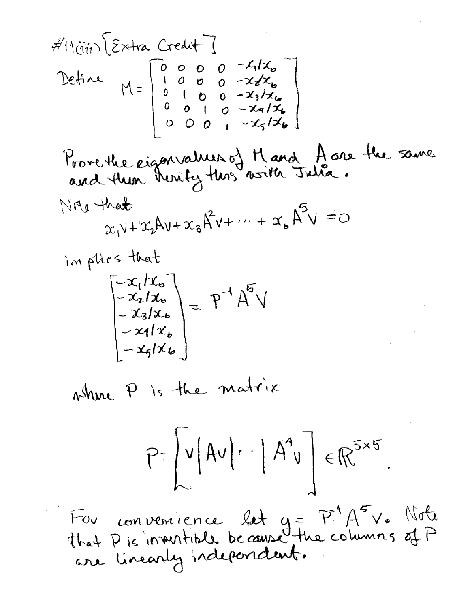$$
d' \text{tr}(\hat{u}_{ij}) \left\{ \hat{z} \times \text{tr} \left[ \begin{array}{c} 0 & \text{if } 1 \\ 0 & \text{if } 0 \\ 0 & \text{if } 0 \\ 0 & \text{if } 0 \\ 0 & \text{if } 0 \\ 0 & \text{if } 0 \\ 0 & \text{if } 0 \\ 0 & \text{if } 0 \\ 0 & \text{if } 0 \\ 0 & \text{if } 0 \\ 0 & \text{if } 0 \\ 0 & \text{if } 0 \\ 0 & \text{if } 0 \\ 0 & \text{if } 0 \\ 0 & \text{if } 0 \\ 0 & \text{if } 0 \\ 0 & \text{if } 0 \\ 0 & \text{if } 0 \\ 0 & \text{if } 0 \\ 0 & \text{if } 0 \\ 0 & \text{if } 0 \\ 0 & \text{if } 0 \\ 0 & \text{if } 0 \\ 0 & \text{if } 0 \\ 0 & \text{if } 0 \\ 0 & \text{if } 0 \\ 0 & \text{if } 0 \\ 0 & \text{if } 0 \\ 0 & \text{if } 0 \\ 0 & \text{if } 0 \\ 0 & \text{if } 0 \\ 0 & \text{if } 0 \\ 0 & \text{if } 0 \\ 0 & \text{if } 0 \\ 0 & \text{if } 0 \\ 0 & \text{if } 0 \\ 0 & \text{if } 0 \\ 0 & \text{if } 0 \\ 0 & \text{if } 0 \\ 0 & \text{if } 0 \\ 0 & \text{if } 0 \\ 0 & \text{if } 0 \\ 0 & \text{if } 0 \\ 0 & \text{if } 0 \\ 0 & \text{if } 0 \\ 0 & \text{if } 0 \\ 0 & \text{if } 0 \\ 0 & \text{if } 0 \\ 0 & \text{if } 0 \\ 0 & \text{if } 0 \\ 0 & \text{if } 0 \\ 0 & \text{if } 0 \\ 0 & \text{if } 0 \\ 0 & \text{if } 0 \\ 0 & \text{if } 0 \\ 0 &
$$

where P is the matrix

 $\left[-x_{5}/x_{6}\right]$ 

$$
P=\left\lfloor v|Av| \cdots \right\rfloor A^{4}v \right] \in \mathbb{R}^{5 \times 5}
$$

For convenience let  $y = P^1 A^5 V$ . Note<br>that P is inventible because the columns of P<br>are linearly independent.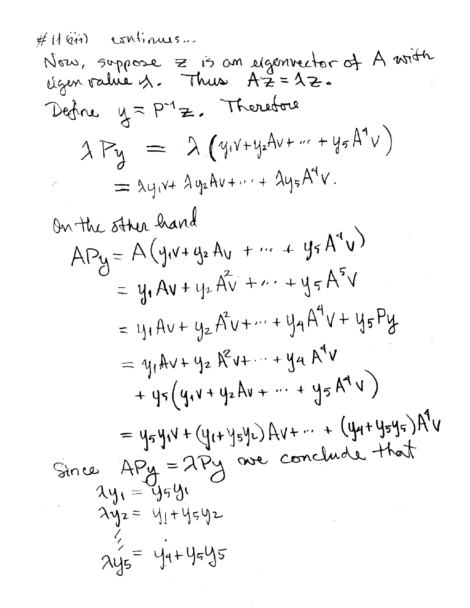$$
lim_{M \to \infty} s_{oppose} = is on eigenvector of A with\ntigenv value A. Thus A2 = 42.\n
$$
24\pi u
$$
  
\n
$$
25\pi u
$$
  
\n
$$
25\pi u
$$
  
\n
$$
25\pi u
$$
  
\n
$$
25\pi u
$$
  
\n
$$
25\pi u
$$
  
\n
$$
25\pi u
$$
  
\n
$$
25\pi u
$$
  
\n
$$
25\pi u
$$
  
\n
$$
25\pi u
$$
  
\n
$$
25\pi u
$$
  
\n
$$
25\pi u
$$
  
\n
$$
25\pi u
$$
  
\n
$$
25\pi u
$$
  
\n
$$
25\pi u
$$
  
\n
$$
25\pi u
$$
  
\n
$$
25\pi u
$$
  
\n
$$
25\pi u
$$
  
\n
$$
25\pi u
$$
  
\n
$$
25\pi u
$$
  
\n
$$
25\pi u
$$
  
\n
$$
25\pi u
$$
  
\n
$$
25\pi u
$$
  
\n
$$
25\pi u
$$
  
\n
$$
25\pi u
$$
  
\n
$$
25\pi u
$$
  
\n
$$
25\pi u
$$
  
\n
$$
25\pi u
$$
  
\n
$$
25\pi u
$$
  
\n
$$
25\pi u
$$
  
\n
$$
25\pi u
$$
  
\n
$$
25\pi u
$$
  
\n
$$
25\pi u
$$
  
\n
$$
25\pi u
$$
  
\n
$$
25\pi u
$$
  
\n
$$
25\pi u
$$
  
\n
$$
25\pi u
$$
  
\n
$$
25\pi u
$$
  
\n
$$
25\pi u
$$
  
\n
$$
25\pi u
$$
  
\n
$$
25\pi u
$$
  
\n
$$
25\pi u
$$
<
$$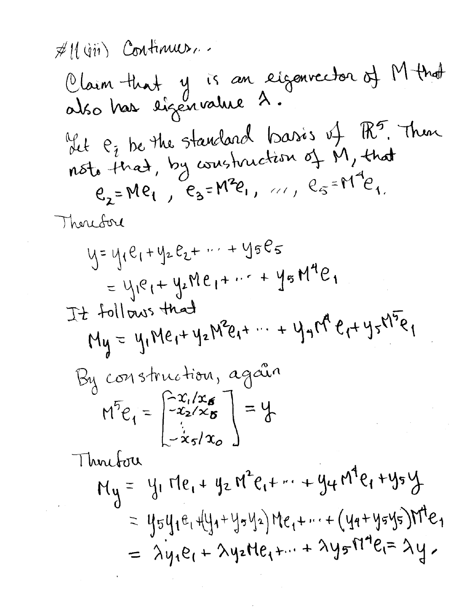$$
\frac{\cancel{\#}}{100}
$$
 (with) Continuous.  
\n0.16. 10.14, 10.15, 20.16. 10.14  
\n0.16. 10.16. 10.16. 10.16. 10.16. 10.16. 10.16. 10.16. 10.16. 10.16. 10.16. 10.16. 10.16. 10.16. 10.16. 10.16. 10.16. 10.16. 10.16. 10.16. 10.16. 10.16. 10.16. 10.16. 10.16. 10.16. 10.16. 10.16. 10.16. 10.16. 10.16. 10.16. 10.16. 10.16. 10.16. 10.16. 10.16. 10.16. 10.16. 10.16. 10.16. 10.16. 10.16. 10.16. 10.16. 10.16. 10.16. 10.16. 10.16. 10.16. 10.16. 10.16. 10.16. 10.16. 10.16. 10.16. 10.16. 10.16. 10.16. 10.16. 10.16. 10.16. 10.16. 10.16. 10.16. 10.16. 10.16. 10.16. 10.16. 10.16. 10.16. 10.16. 10.16. 10.16. 10.16. 10.16. 10.16. 10.16. 10.16. 10.16. 10.16. 10.16. 10.16. 10.16. 10.16. 10.16. 10.16. 10.16. 10.16. 10.16. 10.16. 10.16. 10.16. 10.16. 10.16. 10.16. 10.16. 10.16. 10.16. 10.16. 10.1

 $\mathcal{L}^{\mathcal{L}}(\mathcal{L}^{\mathcal{L}})$  and  $\mathcal{L}^{\mathcal{L}}(\mathcal{L}^{\mathcal{L}})$  . In particular,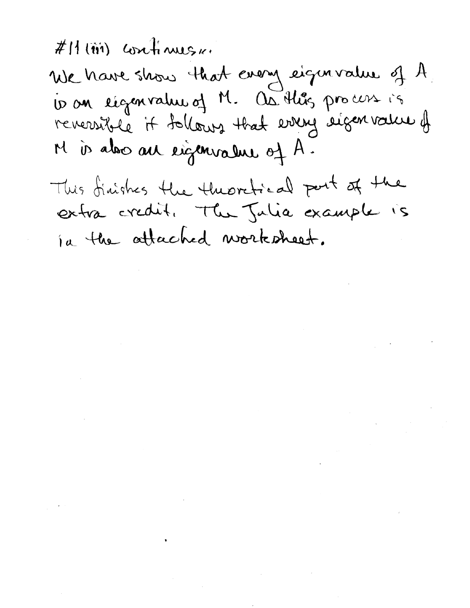$#H(\tilde{\mathfrak{m}})$  continues  $\kappa$ .

 $\label{eq:2.1} \frac{1}{\sqrt{2}}\left(\frac{1}{\sqrt{2}}\right)^{2} \left(\frac{1}{\sqrt{2}}\right)^{2} \left(\frac{1}{\sqrt{2}}\right)^{2} \left(\frac{1}{\sqrt{2}}\right)^{2} \left(\frac{1}{\sqrt{2}}\right)^{2} \left(\frac{1}{\sqrt{2}}\right)^{2} \left(\frac{1}{\sqrt{2}}\right)^{2} \left(\frac{1}{\sqrt{2}}\right)^{2} \left(\frac{1}{\sqrt{2}}\right)^{2} \left(\frac{1}{\sqrt{2}}\right)^{2} \left(\frac{1}{\sqrt{2}}\right)^{2} \left(\$ 

 $\label{eq:2.1} \frac{1}{\sqrt{2}}\int_{\mathbb{R}^3}\frac{1}{\sqrt{2}}\left(\frac{1}{\sqrt{2}}\int_{\mathbb{R}^3}\frac{1}{\sqrt{2}}\left(\frac{1}{\sqrt{2}}\int_{\mathbb{R}^3}\frac{1}{\sqrt{2}}\left(\frac{1}{\sqrt{2}}\int_{\mathbb{R}^3}\frac{1}{\sqrt{2}}\right)\frac{1}{\sqrt{2}}\right)\frac{1}{\sqrt{2}}\right)=\frac{1}{2}\int_{\mathbb{R}^3}\frac{1}{\sqrt{2}}\int_{\mathbb{R}^3}\frac{1}{\sqrt{2}}\frac{1}{\$ 

 $\label{eq:2.1} \frac{1}{2} \int_{\mathbb{R}^3} \frac{1}{\sqrt{2}} \, \mathrm{d} x \, \mathrm{d} x \, \mathrm{d} x \, \mathrm{d} x \, \mathrm{d} x \, \mathrm{d} x \, \mathrm{d} x \, \mathrm{d} x \, \mathrm{d} x \, \mathrm{d} x \, \mathrm{d} x \, \mathrm{d} x \, \mathrm{d} x \, \mathrm{d} x \, \mathrm{d} x \, \mathrm{d} x \, \mathrm{d} x \, \mathrm{d} x \, \mathrm{d} x \, \mathrm{d} x \, \mathrm{d} x \, \mathrm{d} x \, \mathrm{d$ 

 $\label{eq:2.1} \begin{split} \mathcal{L}_{\text{max}}(\mathbf{r}) & = \frac{1}{2} \sum_{i=1}^{N} \mathcal{L}_{\text{max}}(\mathbf{r}) \mathcal{L}_{\text{max}}(\mathbf{r}) \\ & = \frac{1}{2} \sum_{i=1}^{N} \mathcal{L}_{\text{max}}(\mathbf{r}) \mathcal{L}_{\text{max}}(\mathbf{r}) \mathcal{L}_{\text{max}}(\mathbf{r}) \mathcal{L}_{\text{max}}(\mathbf{r}) \mathcal{L}_{\text{max}}(\mathbf{r}) \mathcal{L}_{\text{max}}(\mathbf{r}) \mathcal{L}_{\text{max}}(\mathbf$ 

 $\label{eq:2.1} \frac{1}{\sqrt{2}}\int_{\mathbb{R}^3}\frac{1}{\sqrt{2}}\left(\frac{1}{\sqrt{2}}\right)^2\frac{1}{\sqrt{2}}\left(\frac{1}{\sqrt{2}}\right)^2\frac{1}{\sqrt{2}}\left(\frac{1}{\sqrt{2}}\right)^2\frac{1}{\sqrt{2}}\left(\frac{1}{\sqrt{2}}\right)^2\frac{1}{\sqrt{2}}\left(\frac{1}{\sqrt{2}}\right)^2\frac{1}{\sqrt{2}}\left(\frac{1}{\sqrt{2}}\right)^2\frac{1}{\sqrt{2}}\left(\frac{1}{\sqrt{2}}\right)^2\frac{1}{\sqrt{$ 

We have show that every eigenvalue of A 10 an régenrale of M. Os this process is M is also all eigenvalue of A.

This finishes the theoretical part of the extra credit. The Julia example is ia the attached worksheet.

 $\label{eq:2.1} \frac{1}{\sqrt{2}}\left(\frac{1}{\sqrt{2}}\right)^{2} \left(\frac{1}{\sqrt{2}}\right)^{2} \left(\frac{1}{\sqrt{2}}\right)^{2} \left(\frac{1}{\sqrt{2}}\right)^{2} \left(\frac{1}{\sqrt{2}}\right)^{2} \left(\frac{1}{\sqrt{2}}\right)^{2} \left(\frac{1}{\sqrt{2}}\right)^{2} \left(\frac{1}{\sqrt{2}}\right)^{2} \left(\frac{1}{\sqrt{2}}\right)^{2} \left(\frac{1}{\sqrt{2}}\right)^{2} \left(\frac{1}{\sqrt{2}}\right)^{2} \left(\$ 

 $\label{eq:2.1} \mathcal{F}(\mathcal{F}) = \mathcal{F}(\mathcal{F}) \mathcal{F}(\mathcal{F}) = \mathcal{F}(\mathcal{F})$ 

 $\label{eq:2.1} \begin{split} \mathcal{L}_{\text{max}}(\mathbf{r},\mathbf{r}) & = \mathcal{L}_{\text{max}}(\mathbf{r},\mathbf{r}) \mathcal{L}_{\text{max}}(\mathbf{r},\mathbf{r}) \\ & = \mathcal{L}_{\text{max}}(\mathbf{r},\mathbf{r}) \mathcal{L}_{\text{max}}(\mathbf{r},\mathbf{r}) \mathcal{L}_{\text{max}}(\mathbf{r},\mathbf{r}) \mathcal{L}_{\text{max}}(\mathbf{r},\mathbf{r}) \mathcal{L}_{\text{max}}(\mathbf{r},\mathbf{r}) \mathcal{L}_{\text{max}}(\mathbf{r},$ 

 $\label{eq:2.1} \frac{1}{\sqrt{2}}\sum_{i=1}^n\frac{1}{\sqrt{2}}\sum_{i=1}^n\frac{1}{\sqrt{2}}\sum_{i=1}^n\frac{1}{\sqrt{2}}\sum_{i=1}^n\frac{1}{\sqrt{2}}\sum_{i=1}^n\frac{1}{\sqrt{2}}\sum_{i=1}^n\frac{1}{\sqrt{2}}\sum_{i=1}^n\frac{1}{\sqrt{2}}\sum_{i=1}^n\frac{1}{\sqrt{2}}\sum_{i=1}^n\frac{1}{\sqrt{2}}\sum_{i=1}^n\frac{1}{\sqrt{2}}\sum_{i=1}^n\frac$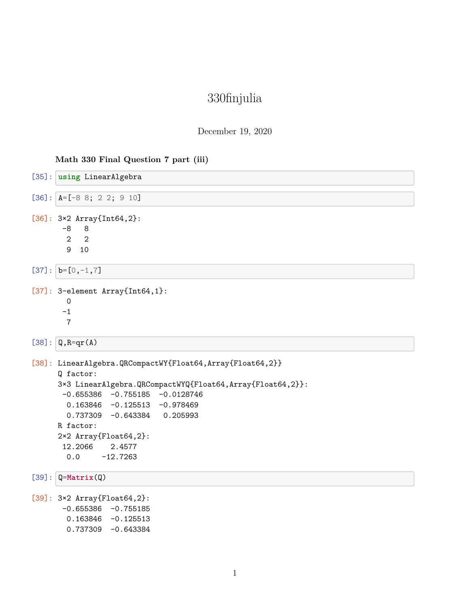# 330finjulia

## December 19, 2020

### **Math 330 Final Question 7 part (iii)**

| [35]: using LinearAlgebra                                                                                                                                                                                                                                                                                                  |
|----------------------------------------------------------------------------------------------------------------------------------------------------------------------------------------------------------------------------------------------------------------------------------------------------------------------------|
| $[36]$ : $A=[-8 8; 2 2; 9 10]$                                                                                                                                                                                                                                                                                             |
| $[36]$ : 3×2 Array{Int64,2}:<br>$-8$<br>8<br>$\overline{2}$<br>$\overline{2}$<br>9<br>10                                                                                                                                                                                                                                   |
| $[37]:  b=[0,-1,7]$                                                                                                                                                                                                                                                                                                        |
| $[37]$ : 3-element Array{Int64,1}:<br>$\mathbf 0$<br>$-1$<br>$\overline{7}$                                                                                                                                                                                                                                                |
| $[38]$ : $Q, R=qr(A)$                                                                                                                                                                                                                                                                                                      |
| [38]: LinearAlgebra.QRCompactWY{Float64,Array{Float64,2}}<br>Q factor:<br>3×3 LinearAlgebra.QRCompactWYQ{Float64,Array{Float64,2}}:<br>$-0.655386 -0.755185 -0.0128746$<br>$0.163846 -0.125513 -0.978469$<br>$0.737309 -0.643384 0.205993$<br>R factor:<br>2×2 Array{Float64,2}:<br>12.2066<br>2.4577<br>0.0<br>$-12.7263$ |
| $[39]$ : $Q=Matrix(Q)$                                                                                                                                                                                                                                                                                                     |
| [39]: 3×2 Array{Float64,2}:<br>$-0.655386 -0.755185$<br>$0.163846 - 0.125513$<br>$0.737309 - 0.643384$                                                                                                                                                                                                                     |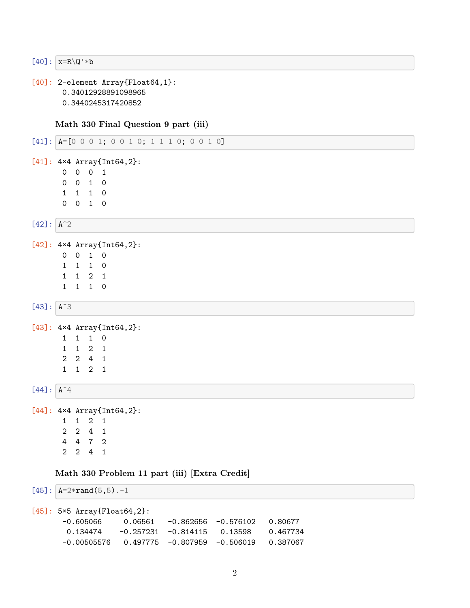$[40]: |x=R\Q^*b$ 

```
[40]: 2-element Array{Float64,1}:
      0.34012928891098965
      0.3440245317420852
```
**Math 330 Final Question 9 part (iii)**

```
[41]: A=[0 0 0 1; 0 0 1 0; 1 1 1 0; 0 0 1 0][41]: 4×4 Array{Int64,2}:
      0 0 0 1
      0 0 1 0
      1 1 1 0
      0 0 1 0
[42]: A^2[42]: 4×4 Array{Int64,2}:
      0 0 1 0
      1 1 1 0
      1 1 2 1
      1 1 1 0
[43]: A^3[43]: 4×4 Array{Int64,2}:
      1 1 1 0
      1 1 2 1
      2 2 4 1
      1 1 2 1
[44]: A^4[44]: 4×4 Array{Int64,2}:
      1 1 2 1
      2 2 4 1
      4 4 7 2
      2 2 4 1
    Math 330 Problem 11 part (iii) [Extra Credit]
[45]: A=2*rand(5,5).-1
[45]: 5×5 Array{Float64,2}:
      -0.605066 0.06561 -0.862656 -0.576102 0.80677
```

```
0.134474 -0.257231 -0.814115 0.13598 0.467734
-0.00505576 0.497775 -0.807959 -0.506019 0.387067
```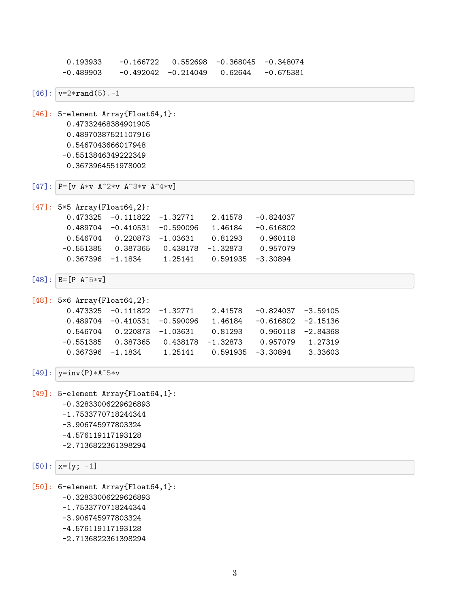0.193933 -0.166722 0.552698 -0.368045 -0.348074  $-0.489903 -0.492042 -0.214049 0.62644 -0.675381$ 

 $[46]$ :  $v=2*rand(5)$ .-1

[46]: 5-element Array{Float64,1}: 0.47332468384901905 0.48970387521107916 0.5467043666017948 -0.5513846349222349 0.3673964551978002

```
[47]: P=[v A*v A<sup>\sim</sup>2*v A<sup>\sim</sup>3*v A<sup>\sim</sup>4*v]
```
[47]: 5×5 Array{Float64,2}: 0.473325 -0.111822 -1.32771 2.41578 -0.824037 0.489704 -0.410531 -0.590096 1.46184 -0.616802 0.546704 0.220873 -1.03631 0.81293 0.960118 -0.551385 0.387365 0.438178 -1.32873 0.957079 0.367396 -1.1834 1.25141 0.591935 -3.30894

 $[48]$ :  $B=[P \ A^5*V]$ 

[48]: 5×6 Array{Float64,2}: 0.473325 -0.111822 -1.32771 2.41578 -0.824037 -3.59105 0.489704 -0.410531 -0.590096 1.46184 -0.616802 -2.15136 0.546704 0.220873 -1.03631 0.81293 0.960118 -2.84368 -0.551385 0.387365 0.438178 -1.32873 0.957079 1.27319 0.367396 -1.1834 1.25141 0.591935 -3.30894 3.33603

 $[49]$ :  $|v=inv(P)*A^5*v$ 

[49]: 5-element Array{Float64,1}: -0.32833006229626893 -1.7533770718244344 -3.906745977803324 -4.576119117193128 -2.7136822361398294

 $[50]$ :  $x=[y; -1]$ 

[50]: 6-element Array{Float64,1}:

- -0.32833006229626893
- -1.7533770718244344
- -3.906745977803324
- -4.576119117193128
- -2.7136822361398294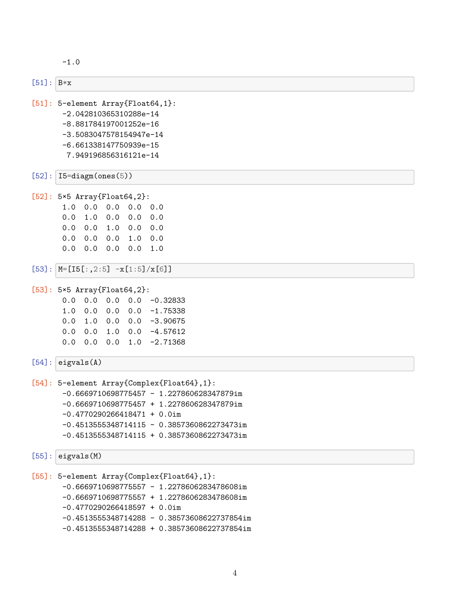```
-1.0
```

```
[51]: B*x[51]: 5-element Array{Float64,1}:
      -2.042810365310288e-14
      -8.881784197001252e-16
      -3.5083047578154947e-14
      -6.661338147750939e-15
       7.949196856316121e-14
[52]: 15 = \text{diagm}(\text{ones}(5))[52]: 5×5 Array{Float64,2}:
      1.0 0.0 0.0 0.0 0.0
      0.0 1.0 0.0 0.0 0.0
      0.0 0.0 1.0 0.0 0.0
      0.0 0.0 0.0 1.0 0.0
      0.0 0.0 0.0 0.0 1.0
[53]: M=[15[:,2:5] -x[1:5]/x[6][53]: 5×5 Array{Float64,2}:
      0.0 0.0 0.0 0.0 -0.32833
      1.0 0.0 0.0 0.0 -1.75338
      0.0 1.0 0.0 0.0 -3.90675
      0.0 0.0 1.0 0.0 -4.57612
      0.0 0.0 0.0 1.0 -2.71368
[54]: eigvals(A)
[54]: 5-element Array{Complex{Float64},1}:
      -0.6669710698775457 - 1.227860628347879im
      -0.6669710698775457 + 1.227860628347879im
      -0.4770290266418471 + 0.0im
      -0.4513555348714115 - 0.3857360862273473im-0.4513555348714115 + 0.3857360862273473im
[55]: eigvals(M)[55]: 5-element Array{Complex{Float64},1}:
      -0.6669710698775557 - 1.2278606283478608im-0.6669710698775557 + 1.2278606283478608im
      -0.4770290266418597 + 0.0im
      -0.4513555348714288 - 0.38573608622737854im
      -0.4513555348714288 + 0.38573608622737854im
```